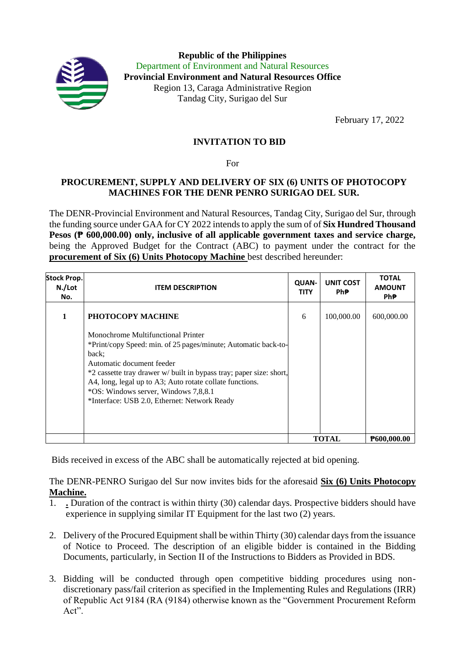

**Republic of the Philippines** Department of Environment and Natural Resources **Provincial Environment and Natural Resources Office** Region 13, Caraga Administrative Region Tandag City, Surigao del Sur

February 17, 2022

## **INVITATION TO BID**

For

## **PROCUREMENT, SUPPLY AND DELIVERY OF SIX (6) UNITS OF PHOTOCOPY MACHINES FOR THE DENR PENRO SURIGAO DEL SUR.**

The DENR-Provincial Environment and Natural Resources, Tandag City, Surigao del Sur, through the funding source under GAA for CY 2022 intends to apply the sum of of **Six Hundred Thousand Pesos (₱ 600,000.00) only, inclusive of all applicable government taxes and service charge,** being the Approved Budget for the Contract (ABC) to payment under the contract for the **procurement of Six (6) Units Photocopy Machine** best described hereunder:

| <b>Stock Prop.</b><br>N./Lot<br>No. | <b>ITEM DESCRIPTION</b>                                                                                                                                                                                                                                                                                                                                               | <b>QUAN-</b><br><b>TITY</b> | UNIT COST<br>Ph₱. | <b>TOTAL</b><br><b>AMOUNT</b><br><b>PhP</b> |
|-------------------------------------|-----------------------------------------------------------------------------------------------------------------------------------------------------------------------------------------------------------------------------------------------------------------------------------------------------------------------------------------------------------------------|-----------------------------|-------------------|---------------------------------------------|
|                                     | PHOTOCOPY MACHINE                                                                                                                                                                                                                                                                                                                                                     | 6                           | 100,000.00        | 600,000.00                                  |
|                                     | Monochrome Multifunctional Printer<br>*Print/copy Speed: min. of 25 pages/minute; Automatic back-to-<br>back:<br>Automatic document feeder<br>*2 cassette tray drawer w/ built in bypass tray; paper size: short,<br>A4, long, legal up to A3; Auto rotate collate functions.<br>*OS: Windows server, Windows 7,8,8.1<br>*Interface: USB 2.0, Ethernet: Network Ready |                             |                   |                                             |
|                                     |                                                                                                                                                                                                                                                                                                                                                                       |                             | TOTAL             | <b>P600,000.00</b>                          |

Bids received in excess of the ABC shall be automatically rejected at bid opening.

The DENR-PENRO Surigao del Sur now invites bids for the aforesaid **Six (6) Units Photocopy Machine.**

- 1. **.** Duration of the contract is within thirty (30) calendar days. Prospective bidders should have experience in supplying similar IT Equipment for the last two (2) years.
- 2. Delivery of the Procured Equipment shall be within Thirty (30) calendar days from the issuance of Notice to Proceed. The description of an eligible bidder is contained in the Bidding Documents, particularly, in Section II of the Instructions to Bidders as Provided in BDS.
- 3. Bidding will be conducted through open competitive bidding procedures using nondiscretionary pass/fail criterion as specified in the Implementing Rules and Regulations (IRR) of Republic Act 9184 (RA (9184) otherwise known as the "Government Procurement Reform Act".